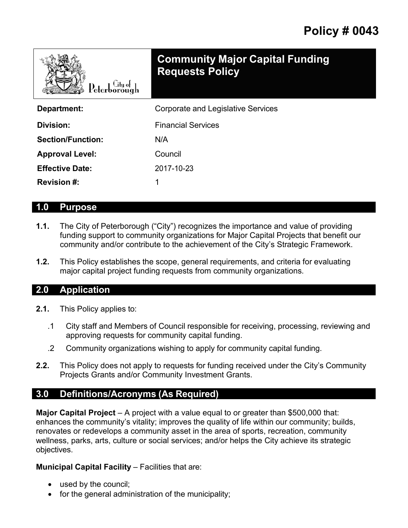| Peterborough             | <b>Community Major Capital Funding</b><br><b>Requests Policy</b> |
|--------------------------|------------------------------------------------------------------|
| Department:              | <b>Corporate and Legislative Services</b>                        |
| Division:                | <b>Financial Services</b>                                        |
| <b>Section/Function:</b> | N/A                                                              |
| <b>Approval Level:</b>   | Council                                                          |
| <b>Effective Date:</b>   | 2017-10-23                                                       |
| <b>Revision #:</b>       | 1                                                                |

#### **1.0 Purpose**

- **1.1.** The City of Peterborough ("City") recognizes the importance and value of providing funding support to community organizations for Major Capital Projects that benefit our community and/or contribute to the achievement of the City's Strategic Framework.
- **1.2.** This Policy establishes the scope, general requirements, and criteria for evaluating major capital project funding requests from community organizations.

#### **2.0 Application**

- **2.1.** This Policy applies to:
	- .1 City staff and Members of Council responsible for receiving, processing, reviewing and approving requests for community capital funding.
	- .2 Community organizations wishing to apply for community capital funding.
- **2.2.** This Policy does not apply to requests for funding received under the City's Community Projects Grants and/or Community Investment Grants.

### **3.0 Definitions/Acronyms (As Required)**

**Major Capital Project** – A project with a value equal to or greater than \$500,000 that: enhances the community's vitality; improves the quality of life within our community; builds, renovates or redevelops a community asset in the area of sports, recreation, community wellness, parks, arts, culture or social services; and/or helps the City achieve its strategic objectives.

#### **Municipal Capital Facility** – Facilities that are:

- used by the council;
- for the general administration of the municipality;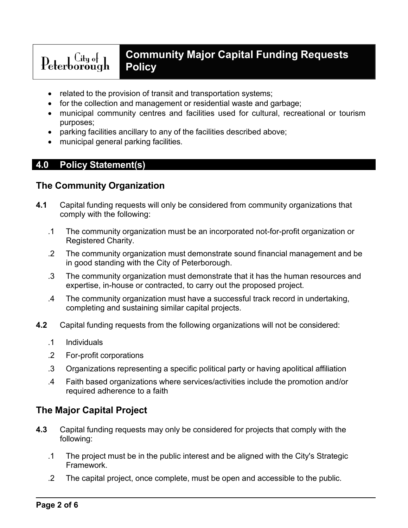# $\text{Peterborough} \quad \text{City of}$

# **Community Major Capital Funding Requests Policy**

- related to the provision of transit and transportation systems;
- for the collection and management or residential waste and garbage;
- municipal community centres and facilities used for cultural, recreational or tourism purposes;
- parking facilities ancillary to any of the facilities described above;
- municipal general parking facilities.

# **4.0 Policy Statement(s)**

## **The Community Organization**

- **4.1** Capital funding requests will only be considered from community organizations that comply with the following:
	- .1 The community organization must be an incorporated not-for-profit organization or Registered Charity.
	- .2 The community organization must demonstrate sound financial management and be in good standing with the City of Peterborough.
	- .3 The community organization must demonstrate that it has the human resources and expertise, in-house or contracted, to carry out the proposed project.
	- .4 The community organization must have a successful track record in undertaking, completing and sustaining similar capital projects.
- **4.2** Capital funding requests from the following organizations will not be considered:
	- .1 Individuals
	- .2 For-profit corporations
	- .3 Organizations representing a specific political party or having apolitical affiliation
	- .4 Faith based organizations where services/activities include the promotion and/or required adherence to a faith

# **The Major Capital Project**

- **4.3** Capital funding requests may only be considered for projects that comply with the following:
	- .1 The project must be in the public interest and be aligned with the City's Strategic Framework.
	- .2 The capital project, once complete, must be open and accessible to the public.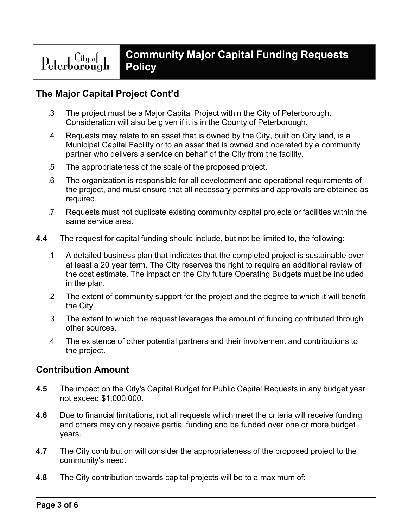# **The Major Capital Project Cont'd**

- .3 The project must be a Major Capital Project within the City of Peterborough. Consideration will also be given if it is in the County of Peterborough.
- .4 Requests may relate to an asset that is owned by the City, built on City land, is a Municipal Capital Facility or to an asset that is owned and operated by a community partner who delivers a service on behalf of the City from the facility.
- .5 The appropriateness of the scale of the proposed project.
- .6 The organization is responsible for all development and operational requirements of the project, and must ensure that all necessary permits and approvals are obtained as required.
- .7 Requests must not duplicate existing community capital projects or facilities within the same service area.
- **4.4** The request for capital funding should include, but not be limited to, the following:
	- .1 A detailed business plan that indicates that the completed project is sustainable over at least a 20 year term. The City reserves the right to require an additional review of the cost estimate. The impact on the City future Operating Budgets must be included in the plan.
	- .2 The extent of community support for the project and the degree to which it will benefit the City.
	- .3 The extent to which the request leverages the amount of funding contributed through other sources.
	- .4 The existence of other potential partners and their involvement and contributions to the project.

## **Contribution Amount**

- **4.5** The impact on the City's Capital Budget for Public Capital Requests in any budget year not exceed \$1,000,000.
- **4.6** Due to financial limitations, not all requests which meet the criteria will receive funding and others may only receive partial funding and be funded over one or more budget years.
- **4.7** The City contribution will consider the appropriateness of the proposed project to the community's need.
- **4.8** The City contribution towards capital projects will be to a maximum of: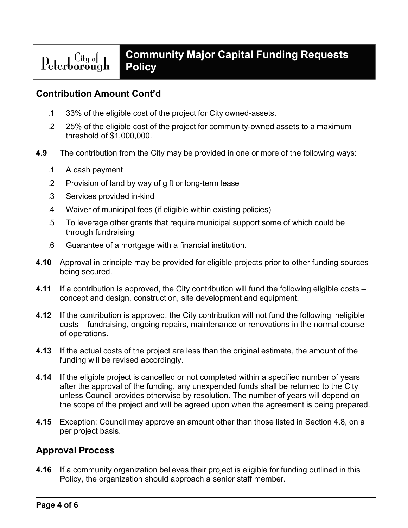#### **Community Major Capital Funding Requests**   $\text{Peterborough} \quad \text{City of}$ **Policy**

# **Contribution Amount Cont'd**

- .1 33% of the eligible cost of the project for City owned-assets.
- .2 25% of the eligible cost of the project for community-owned assets to a maximum threshold of \$1,000,000.
- **4.9** The contribution from the City may be provided in one or more of the following ways:
	- .1 A cash payment
	- .2 Provision of land by way of gift or long-term lease
	- .3 Services provided in-kind
	- .4 Waiver of municipal fees (if eligible within existing policies)
	- .5 To leverage other grants that require municipal support some of which could be through fundraising
	- .6 Guarantee of a mortgage with a financial institution.
- **4.10** Approval in principle may be provided for eligible projects prior to other funding sources being secured.
- **4.11** If a contribution is approved, the City contribution will fund the following eligible costs concept and design, construction, site development and equipment.
- **4.12** If the contribution is approved, the City contribution will not fund the following ineligible costs – fundraising, ongoing repairs, maintenance or renovations in the normal course of operations.
- **4.13** If the actual costs of the project are less than the original estimate, the amount of the funding will be revised accordingly.
- **4.14** If the eligible project is cancelled or not completed within a specified number of years after the approval of the funding, any unexpended funds shall be returned to the City unless Council provides otherwise by resolution. The number of years will depend on the scope of the project and will be agreed upon when the agreement is being prepared.
- **4.15** Exception: Council may approve an amount other than those listed in Section 4.8, on a per project basis.

## **Approval Process**

**4.16** If a community organization believes their project is eligible for funding outlined in this Policy, the organization should approach a senior staff member.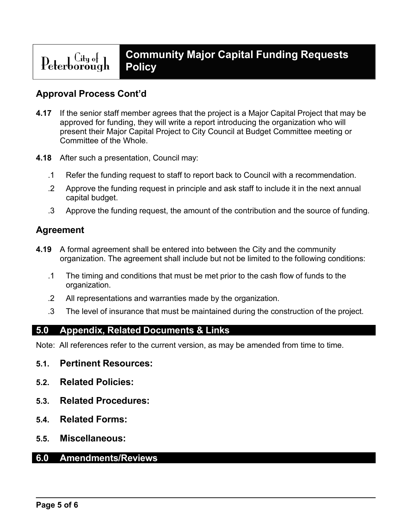#### **Community Major Capital Funding Requests**  Peterborough **Policy**

## **Approval Process Cont'd**

- **4.17** If the senior staff member agrees that the project is a Major Capital Project that may be approved for funding, they will write a report introducing the organization who will present their Major Capital Project to City Council at Budget Committee meeting or Committee of the Whole.
- **4.18** After such a presentation, Council may:
	- .1 Refer the funding request to staff to report back to Council with a recommendation.
	- .2 Approve the funding request in principle and ask staff to include it in the next annual capital budget.
	- .3 Approve the funding request, the amount of the contribution and the source of funding.

## **Agreement**

- **4.19** A formal agreement shall be entered into between the City and the community organization. The agreement shall include but not be limited to the following conditions:
	- .1 The timing and conditions that must be met prior to the cash flow of funds to the organization.
	- .2 All representations and warranties made by the organization.
	- .3 The level of insurance that must be maintained during the construction of the project.

## **5.0 Appendix, Related Documents & Links**

Note: All references refer to the current version, as may be amended from time to time.

- **5.1. Pertinent Resources:**
- **5.2. Related Policies:**
- **5.3. Related Procedures:**
- **5.4. Related Forms:**
- **5.5. Miscellaneous:**

#### **6.0 Amendments/Reviews**